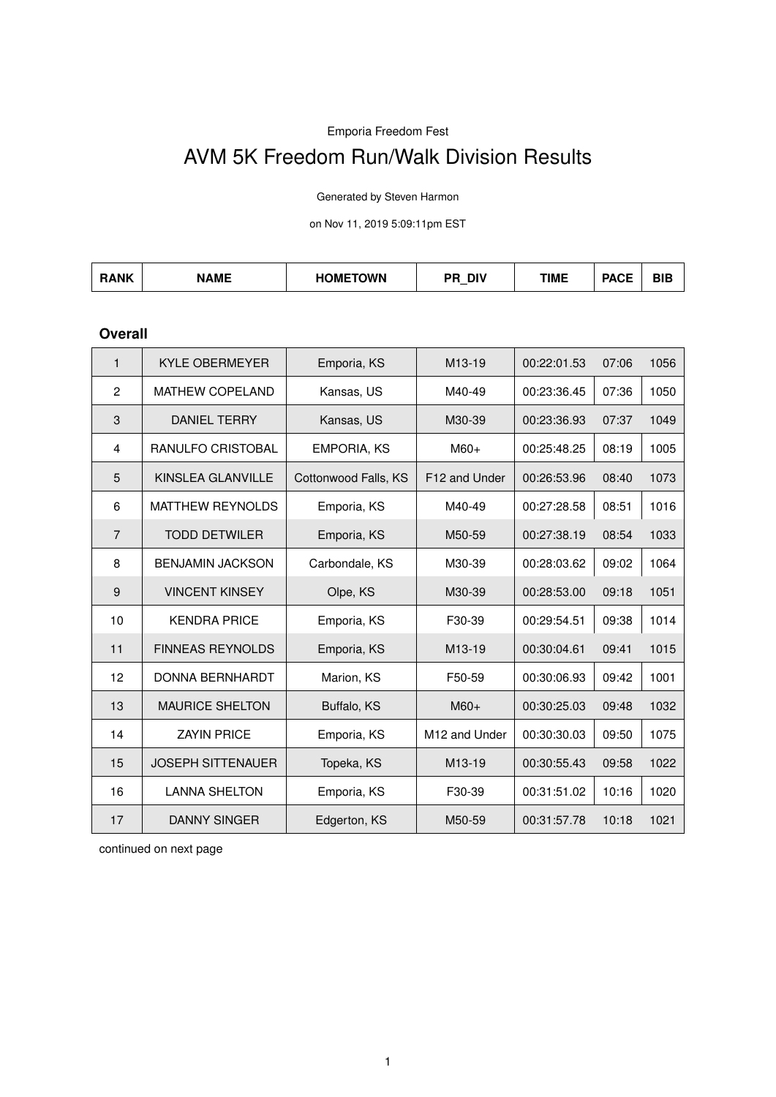Emporia Freedom Fest

# AVM 5K Freedom Run/Walk Division Results

Generated by Steven Harmon

on Nov 11, 2019 5:09:11pm EST

| <b>ANK</b> | <b>JAME</b> | <b>HOMETOWN</b><br>. . | <b>DIV</b><br>nг<br>$\overline{\phantom{a}}$ | TIME | $P^{\Lambda}$<br><b>AVL</b> | ---<br>DIE |
|------------|-------------|------------------------|----------------------------------------------|------|-----------------------------|------------|
|------------|-------------|------------------------|----------------------------------------------|------|-----------------------------|------------|

**Overall**

| $\mathbf{1}$   | <b>KYLE OBERMEYER</b>    | Emporia, KS          | M13-19        | 00:22:01.53 | 07:06 | 1056 |
|----------------|--------------------------|----------------------|---------------|-------------|-------|------|
| $\overline{c}$ | <b>MATHEW COPELAND</b>   | Kansas, US           | M40-49        | 00:23:36.45 | 07:36 | 1050 |
| 3              | <b>DANIEL TERRY</b>      | Kansas, US           | M30-39        | 00:23:36.93 | 07:37 | 1049 |
| 4              | <b>RANULFO CRISTOBAL</b> | <b>EMPORIA, KS</b>   | $M60+$        | 00:25:48.25 | 08:19 | 1005 |
| 5              | KINSLEA GLANVILLE        | Cottonwood Falls, KS | F12 and Under | 00:26:53.96 | 08:40 | 1073 |
| 6              | <b>MATTHEW REYNOLDS</b>  | Emporia, KS          | M40-49        | 00:27:28.58 | 08:51 | 1016 |
| $\overline{7}$ | <b>TODD DETWILER</b>     | Emporia, KS          | M50-59        | 00:27:38.19 | 08:54 | 1033 |
| 8              | <b>BENJAMIN JACKSON</b>  | Carbondale, KS       | M30-39        | 00:28:03.62 | 09:02 | 1064 |
| 9              | <b>VINCENT KINSEY</b>    | Olpe, KS             | M30-39        | 00:28:53.00 | 09:18 | 1051 |
| 10             | <b>KENDRA PRICE</b>      | Emporia, KS          | F30-39        | 00:29:54.51 | 09:38 | 1014 |
| 11             | <b>FINNEAS REYNOLDS</b>  | Emporia, KS          | M13-19        | 00:30:04.61 | 09:41 | 1015 |
| 12             | <b>DONNA BERNHARDT</b>   | Marion, KS           | F50-59        | 00:30:06.93 | 09:42 | 1001 |
| 13             | <b>MAURICE SHELTON</b>   | Buffalo, KS          | $M60+$        | 00:30:25.03 | 09:48 | 1032 |
| 14             | <b>ZAYIN PRICE</b>       | Emporia, KS          | M12 and Under | 00:30:30.03 | 09:50 | 1075 |
| 15             | <b>JOSEPH SITTENAUER</b> | Topeka, KS           | M13-19        | 00:30:55.43 | 09:58 | 1022 |
| 16             | <b>LANNA SHELTON</b>     | Emporia, KS          | F30-39        | 00:31:51.02 | 10:16 | 1020 |
| 17             | <b>DANNY SINGER</b>      | Edgerton, KS         | M50-59        | 00:31:57.78 | 10:18 | 1021 |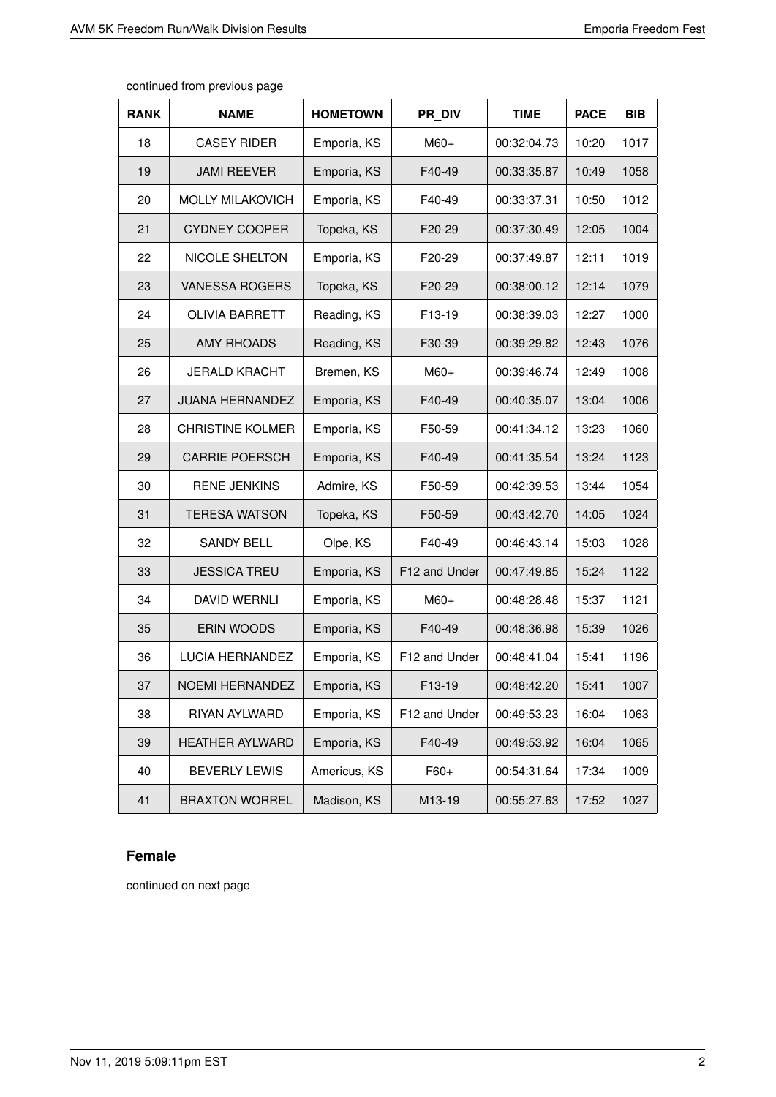| <b>RANK</b> | <b>NAME</b>             | <b>HOMETOWN</b> | PR DIV        | <b>TIME</b> | <b>PACE</b> | <b>BIB</b> |
|-------------|-------------------------|-----------------|---------------|-------------|-------------|------------|
| 18          | <b>CASEY RIDER</b>      | Emporia, KS     | M60+          | 00:32:04.73 | 10:20       | 1017       |
| 19          | <b>JAMI REEVER</b>      | Emporia, KS     | F40-49        | 00:33:35.87 | 10:49       | 1058       |
| 20          | <b>MOLLY MILAKOVICH</b> | Emporia, KS     | F40-49        | 00:33:37.31 | 10:50       | 1012       |
| 21          | <b>CYDNEY COOPER</b>    | Topeka, KS      | F20-29        | 00:37:30.49 | 12:05       | 1004       |
| 22          | NICOLE SHELTON          | Emporia, KS     | F20-29        | 00:37:49.87 | 12:11       | 1019       |
| 23          | <b>VANESSA ROGERS</b>   | Topeka, KS      | F20-29        | 00:38:00.12 | 12:14       | 1079       |
| 24          | <b>OLIVIA BARRETT</b>   | Reading, KS     | F13-19        | 00:38:39.03 | 12:27       | 1000       |
| 25          | <b>AMY RHOADS</b>       | Reading, KS     | F30-39        | 00:39:29.82 | 12:43       | 1076       |
| 26          | <b>JERALD KRACHT</b>    | Bremen, KS      | M60+          | 00:39:46.74 | 12:49       | 1008       |
| 27          | <b>JUANA HERNANDEZ</b>  | Emporia, KS     | F40-49        | 00:40:35.07 | 13:04       | 1006       |
| 28          | <b>CHRISTINE KOLMER</b> | Emporia, KS     | F50-59        | 00:41:34.12 | 13:23       | 1060       |
| 29          | <b>CARRIE POERSCH</b>   | Emporia, KS     | F40-49        | 00:41:35.54 | 13:24       | 1123       |
| 30          | <b>RENE JENKINS</b>     | Admire, KS      | F50-59        | 00:42:39.53 | 13:44       | 1054       |
| 31          | <b>TERESA WATSON</b>    | Topeka, KS      | F50-59        | 00:43:42.70 | 14:05       | 1024       |
| 32          | <b>SANDY BELL</b>       | Olpe, KS        | F40-49        | 00:46:43.14 | 15:03       | 1028       |
| 33          | <b>JESSICA TREU</b>     | Emporia, KS     | F12 and Under | 00:47:49.85 | 15:24       | 1122       |
| 34          | <b>DAVID WERNLI</b>     | Emporia, KS     | $M60+$        | 00:48:28.48 | 15:37       | 1121       |
| 35          | ERIN WOODS              | Emporia, KS     | F40-49        | 00:48:36.98 | 15:39       | 1026       |
| 36          | LUCIA HERNANDEZ         | Emporia, KS     | F12 and Under | 00:48:41.04 | 15:41       | 1196       |
| 37          | NOEMI HERNANDEZ         | Emporia, KS     | F13-19        | 00:48:42.20 | 15:41       | 1007       |
| 38          | RIYAN AYLWARD           | Emporia, KS     | F12 and Under | 00:49:53.23 | 16:04       | 1063       |
| 39          | <b>HEATHER AYLWARD</b>  | Emporia, KS     | F40-49        | 00:49:53.92 | 16:04       | 1065       |
| 40          | <b>BEVERLY LEWIS</b>    | Americus, KS    | $F60+$        | 00:54:31.64 | 17:34       | 1009       |
| 41          | <b>BRAXTON WORREL</b>   | Madison, KS     | M13-19        | 00:55:27.63 | 17:52       | 1027       |

## **Female**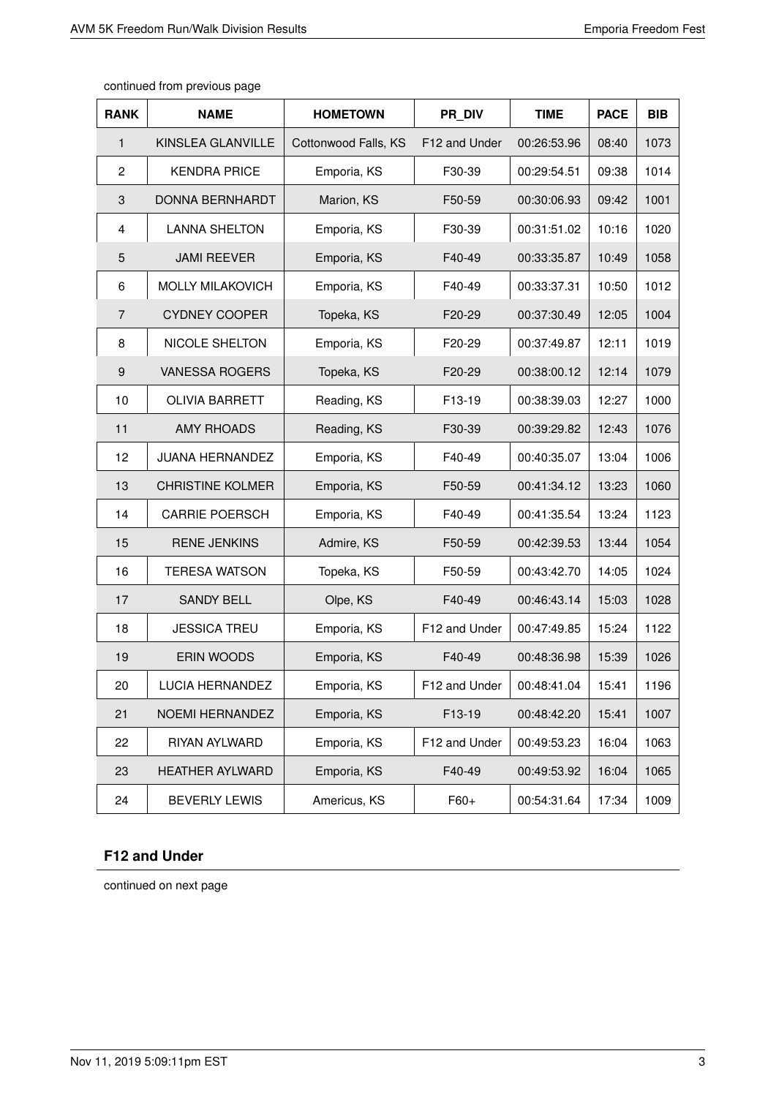|  | continued from previous page |
|--|------------------------------|
|--|------------------------------|

| <b>RANK</b>    | <b>NAME</b>             | <b>HOMETOWN</b>      | PR DIV        | <b>TIME</b> | <b>PACE</b> | <b>BIB</b> |
|----------------|-------------------------|----------------------|---------------|-------------|-------------|------------|
| $\mathbf{1}$   | KINSLEA GLANVILLE       | Cottonwood Falls, KS | F12 and Under | 00:26:53.96 | 08:40       | 1073       |
| $\overline{c}$ | <b>KENDRA PRICE</b>     | Emporia, KS          | F30-39        | 00:29:54.51 | 09:38       | 1014       |
| 3              | DONNA BERNHARDT         | Marion, KS           | F50-59        | 00:30:06.93 | 09:42       | 1001       |
| 4              | <b>LANNA SHELTON</b>    | Emporia, KS          | F30-39        | 00:31:51.02 | 10:16       | 1020       |
| 5              | <b>JAMI REEVER</b>      | Emporia, KS          | F40-49        | 00:33:35.87 | 10:49       | 1058       |
| 6              | <b>MOLLY MILAKOVICH</b> | Emporia, KS          | F40-49        | 00:33:37.31 | 10:50       | 1012       |
| 7              | <b>CYDNEY COOPER</b>    | Topeka, KS           | F20-29        | 00:37:30.49 | 12:05       | 1004       |
| 8              | NICOLE SHELTON          | Emporia, KS          | F20-29        | 00:37:49.87 | 12:11       | 1019       |
| 9              | <b>VANESSA ROGERS</b>   | Topeka, KS           | F20-29        | 00:38:00.12 | 12:14       | 1079       |
| 10             | <b>OLIVIA BARRETT</b>   | Reading, KS          | F13-19        | 00:38:39.03 | 12:27       | 1000       |
| 11             | <b>AMY RHOADS</b>       | Reading, KS          | F30-39        | 00:39:29.82 | 12:43       | 1076       |
| 12             | <b>JUANA HERNANDEZ</b>  | Emporia, KS          | F40-49        | 00:40:35.07 | 13:04       | 1006       |
| 13             | <b>CHRISTINE KOLMER</b> | Emporia, KS          | F50-59        | 00:41:34.12 | 13:23       | 1060       |
| 14             | <b>CARRIE POERSCH</b>   | Emporia, KS          | F40-49        | 00:41:35.54 | 13:24       | 1123       |
| 15             | <b>RENE JENKINS</b>     | Admire, KS           | F50-59        | 00:42:39.53 | 13:44       | 1054       |
| 16             | <b>TERESA WATSON</b>    | Topeka, KS           | F50-59        | 00:43:42.70 | 14:05       | 1024       |
| 17             | <b>SANDY BELL</b>       | Olpe, KS             | F40-49        | 00:46:43.14 | 15:03       | 1028       |
| 18             | <b>JESSICA TREU</b>     | Emporia, KS          | F12 and Under | 00:47:49.85 | 15:24       | 1122       |
| 19             | <b>ERIN WOODS</b>       | Emporia, KS          | F40-49        | 00:48:36.98 | 15:39       | 1026       |
| 20             | <b>LUCIA HERNANDEZ</b>  | Emporia, KS          | F12 and Under | 00:48:41.04 | 15:41       | 1196       |
| 21             | <b>NOEMI HERNANDEZ</b>  | Emporia, KS          | F13-19        | 00:48:42.20 | 15:41       | 1007       |
| 22             | RIYAN AYLWARD           | Emporia, KS          | F12 and Under | 00:49:53.23 | 16:04       | 1063       |
| 23             | <b>HEATHER AYLWARD</b>  | Emporia, KS          | F40-49        | 00:49:53.92 | 16:04       | 1065       |
| 24             | <b>BEVERLY LEWIS</b>    | Americus, KS         | $F60+$        | 00:54:31.64 | 17:34       | 1009       |

## **F12 and Under**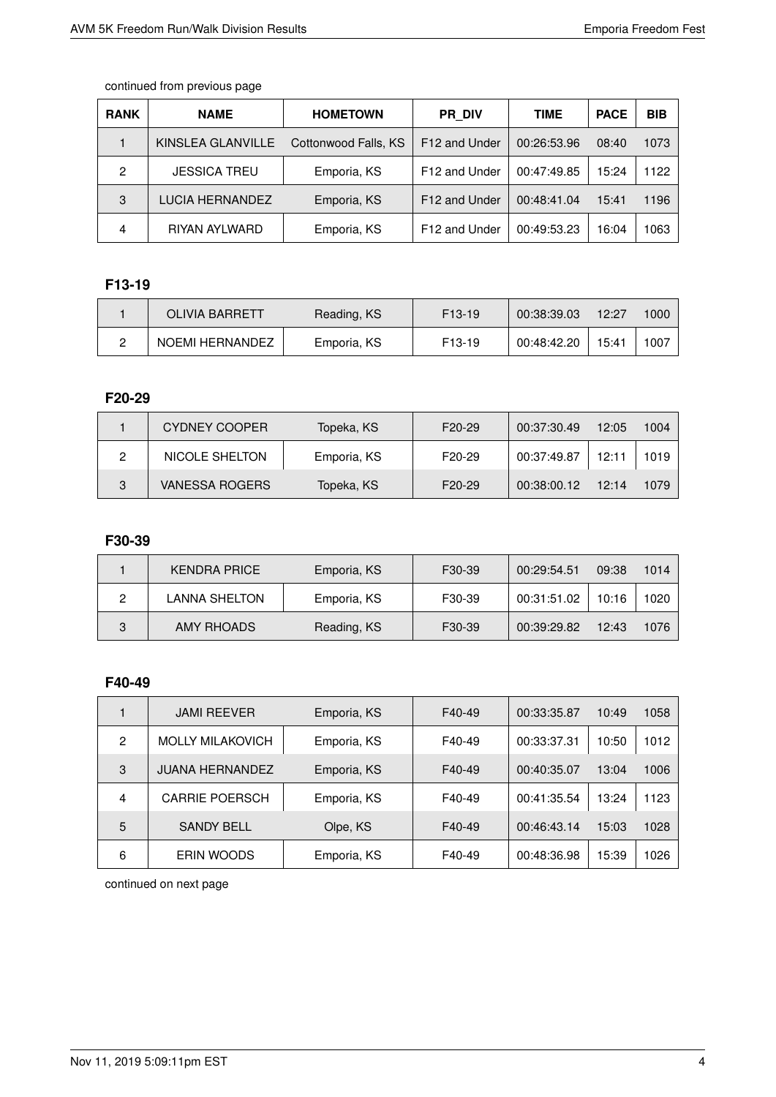| <b>RANK</b> | <b>NAME</b>          | <b>HOMETOWN</b>      | <b>PR DIV</b>             | <b>TIME</b> | <b>PACE</b> | <b>BIB</b> |
|-------------|----------------------|----------------------|---------------------------|-------------|-------------|------------|
|             | KINSLEA GLANVILLE    | Cottonwood Falls, KS | F12 and Under             | 00:26:53.96 | 08:40       | 1073       |
| 2           | <b>JESSICA TREU</b>  | Emporia, KS          | F12 and Under             | 00:47:49.85 | 15:24       | 1122       |
| 3           | LUCIA HERNANDEZ      | Emporia, KS          | F12 and Under             | 00:48:41.04 | 15:41       | 1196       |
| 4           | <b>RIYAN AYLWARD</b> | Emporia, KS          | F <sub>12</sub> and Under | 00:49:53.23 | 16:04       | 1063       |

# **F13-19**

| <b>OLIVIA BARRETT</b> | Reading, KS | F <sub>13</sub> -19 | 00:38:39.03 | 12:27 | 1000 |
|-----------------------|-------------|---------------------|-------------|-------|------|
| NOEMI HERNANDEZ       | Emporia, KS | F <sub>13</sub> -19 | 00:48:42.20 | 15:41 | 1007 |

# **F20-29**

|   | CYDNEY COOPER  | Topeka, KS  | F <sub>20</sub> -29 | 00:37:30.49 | 12:05 | 1004 |
|---|----------------|-------------|---------------------|-------------|-------|------|
|   | NICOLE SHELTON | Emporia, KS | F <sub>20</sub> -29 | 00:37:49.87 | 12:11 | 1019 |
| 3 | VANESSA ROGERS | Topeka, KS  | F <sub>20</sub> -29 | 00:38:00.12 | 12.14 | 1079 |

# **F30-39**

|   | <b>KENDRA PRICE</b>  | Emporia, KS | F <sub>30</sub> -39 | 00:29:54.51 | 09:38 | 1014 |
|---|----------------------|-------------|---------------------|-------------|-------|------|
|   | <b>LANNA SHELTON</b> | Emporia, KS | F <sub>30</sub> -39 | 00:31:51.02 | 10:16 | 1020 |
| 3 | AMY RHOADS           | Reading, KS | F30-39              | 00:39:29.82 | 12:43 | 1076 |

# **F40-49**

|   | <b>JAMI REEVER</b>      | Emporia, KS | F40-49 | 00:33:35.87 | 10:49 | 1058 |
|---|-------------------------|-------------|--------|-------------|-------|------|
| 2 | <b>MOLLY MILAKOVICH</b> | Emporia, KS | F40-49 | 00:33:37.31 | 10:50 | 1012 |
| 3 | <b>JUANA HERNANDEZ</b>  | Emporia, KS | F40-49 | 00:40:35.07 | 13:04 | 1006 |
| 4 | <b>CARRIE POERSCH</b>   | Emporia, KS | F40-49 | 00:41:35.54 | 13:24 | 1123 |
| 5 | <b>SANDY BELL</b>       | Olpe, KS    | F40-49 | 00:46:43.14 | 15:03 | 1028 |
| 6 | <b>ERIN WOODS</b>       | Emporia, KS | F40-49 | 00:48:36.98 | 15:39 | 1026 |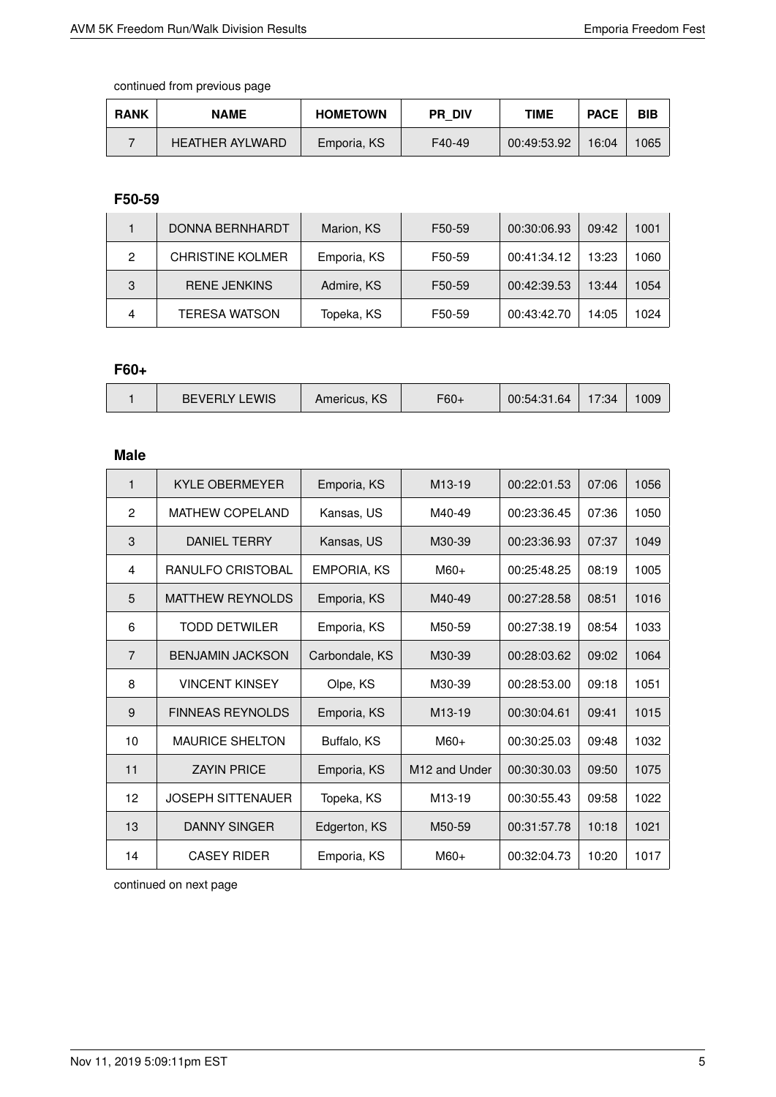| <b>RANK</b> | <b>NAME</b>     | <b>HOMETOWN</b> | <b>PR DIV</b> | TIME        | <b>PACE</b> | <b>BIB</b> |
|-------------|-----------------|-----------------|---------------|-------------|-------------|------------|
|             | HEATHER AYLWARD | Emporia, KS     | F40-49        | 00:49:53.92 | 16:04       | 1065       |

## **F50-59**

|   | <b>DONNA BERNHARDT</b>  | Marion, KS  | F50-59 | 00:30:06.93 | 09:42 | 1001 |
|---|-------------------------|-------------|--------|-------------|-------|------|
| 2 | <b>CHRISTINE KOLMER</b> | Emporia, KS | F50-59 | 00:41:34.12 | 13:23 | 1060 |
| 3 | <b>RENE JENKINS</b>     | Admire, KS  | F50-59 | 00:42:39.53 | 13:44 | 1054 |
| 4 | <b>TERESA WATSON</b>    | Topeka, KS  | F50-59 | 00:43:42.70 | 14:05 | 1024 |

#### **F60+**

|  | <b>BEVERLY LEWIS</b> | Americus, KS | $F60+$ | 00:54:31.64 | 17:34 | 1009 |
|--|----------------------|--------------|--------|-------------|-------|------|
|--|----------------------|--------------|--------|-------------|-------|------|

## **Male**

| $\mathbf 1$    | <b>KYLE OBERMEYER</b>    | Emporia, KS    | M <sub>13</sub> -19       | 00:22:01.53 | 07:06 | 1056 |
|----------------|--------------------------|----------------|---------------------------|-------------|-------|------|
| $\mathbf{2}$   | <b>MATHEW COPELAND</b>   | Kansas, US     | M40-49                    | 00:23:36.45 | 07:36 | 1050 |
| 3              | <b>DANIEL TERRY</b>      | Kansas, US     | M30-39                    | 00:23:36.93 | 07:37 | 1049 |
| 4              | <b>RANULFO CRISTOBAL</b> | EMPORIA, KS    | $M60+$                    | 00:25:48.25 | 08:19 | 1005 |
| 5              | <b>MATTHEW REYNOLDS</b>  | Emporia, KS    | M40-49                    | 00:27:28.58 | 08:51 | 1016 |
| 6              | TODD DETWILER            | Emporia, KS    | M50-59                    | 00:27:38.19 | 08:54 | 1033 |
| $\overline{7}$ | <b>BENJAMIN JACKSON</b>  | Carbondale, KS | M30-39                    | 00:28:03.62 | 09:02 | 1064 |
| 8              | <b>VINCENT KINSEY</b>    | Olpe, KS       | M30-39                    | 00:28:53.00 | 09:18 | 1051 |
| 9              | <b>FINNEAS REYNOLDS</b>  | Emporia, KS    | M <sub>13</sub> -19       | 00:30:04.61 | 09:41 | 1015 |
| 10             | <b>MAURICE SHELTON</b>   | Buffalo, KS    | $M60+$                    | 00:30:25.03 | 09:48 | 1032 |
| 11             | <b>ZAYIN PRICE</b>       | Emporia, KS    | M <sub>12</sub> and Under | 00:30:30.03 | 09:50 | 1075 |
| 12             | <b>JOSEPH SITTENAUER</b> | Topeka, KS     | M <sub>13</sub> -19       | 00:30:55.43 | 09:58 | 1022 |
| 13             | DANNY SINGER             | Edgerton, KS   | M50-59                    | 00:31:57.78 | 10:18 | 1021 |
| 14             | <b>CASEY RIDER</b>       | Emporia, KS    | $M60+$                    | 00:32:04.73 | 10:20 | 1017 |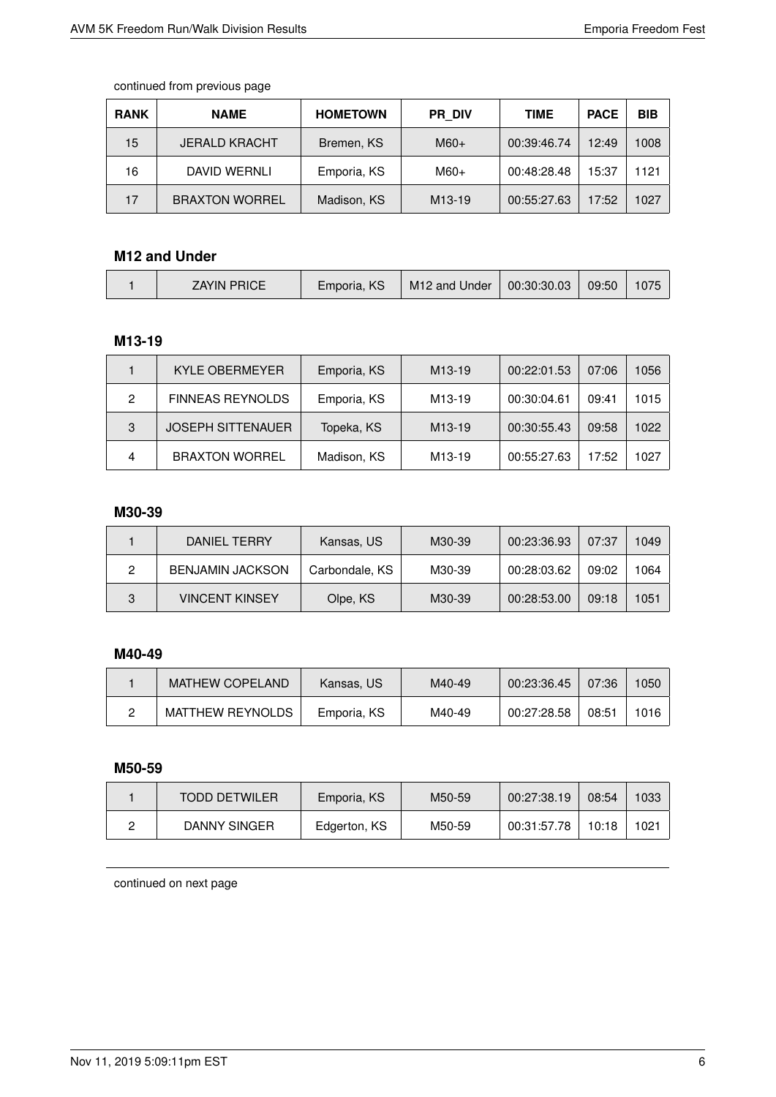| <b>RANK</b> | <b>NAME</b>           | <b>HOMETOWN</b> | <b>PR DIV</b>       | <b>TIME</b> | <b>PACE</b> | <b>BIB</b> |
|-------------|-----------------------|-----------------|---------------------|-------------|-------------|------------|
| 15          | <b>JERALD KRACHT</b>  | Bremen, KS      | $M60+$              | 00:39:46.74 | 12:49       | 1008       |
| 16          | DAVID WERNLI          | Emporia, KS     | $M60+$              | 00:48:28.48 | 15:37       | 1121       |
| 17          | <b>BRAXTON WORREL</b> | Madison, KS     | M <sub>13</sub> -19 | 00:55:27.63 | 17:52       | 1027       |

# **M12 and Under**

|  | <b>ZAYIN PRICE</b> | Emporia, KS | M12 and Under | $\parallel$ 00:30:30.03 | 09:50 | 1075 |
|--|--------------------|-------------|---------------|-------------------------|-------|------|
|--|--------------------|-------------|---------------|-------------------------|-------|------|

# **M13-19**

|   | <b>KYLE OBERMEYER</b>    | Emporia, KS | M <sub>13</sub> -19 | 00:22:01.53 | 07:06 | 1056 |
|---|--------------------------|-------------|---------------------|-------------|-------|------|
| 2 | <b>FINNEAS REYNOLDS</b>  | Emporia, KS | M13-19              | 00:30:04.61 | 09:41 | 1015 |
| 3 | <b>JOSEPH SITTENAUER</b> | Topeka, KS  | M <sub>13</sub> -19 | 00:30:55.43 | 09:58 | 1022 |
| 4 | <b>BRAXTON WORREL</b>    | Madison, KS | M <sub>13</sub> -19 | 00:55:27.63 | 17:52 | 1027 |

## **M30-39**

|   | DANIEL TERRY            | Kansas, US     | M30-39 | 00:23:36.93 | 07:37 | 1049 |
|---|-------------------------|----------------|--------|-------------|-------|------|
|   | <b>BENJAMIN JACKSON</b> | Carbondale, KS | M30-39 | 00:28:03.62 | 09:02 | 1064 |
| 3 | <b>VINCENT KINSEY</b>   | Olpe, KS       | M30-39 | 00:28:53.00 | 09:18 | 1051 |

## **M40-49**

| <b>MATHEW COPELAND</b> | Kansas, US  | M40-49 | 00:23:36.45 | 07:36 | 1050 |
|------------------------|-------------|--------|-------------|-------|------|
| MATTHEW REYNOLDS       | Emporia, KS | M40-49 | 00:27:28.58 | 08:51 | 1016 |

## **M50-59**

| <b>TODD DETWILER</b> | Emporia, KS  | M50-59 | 00:27:38.19 | 08:54 | 1033 |
|----------------------|--------------|--------|-------------|-------|------|
| DANNY SINGER         | Edgerton, KS | M50-59 | 00:31:57.78 | 10:18 | 1021 |